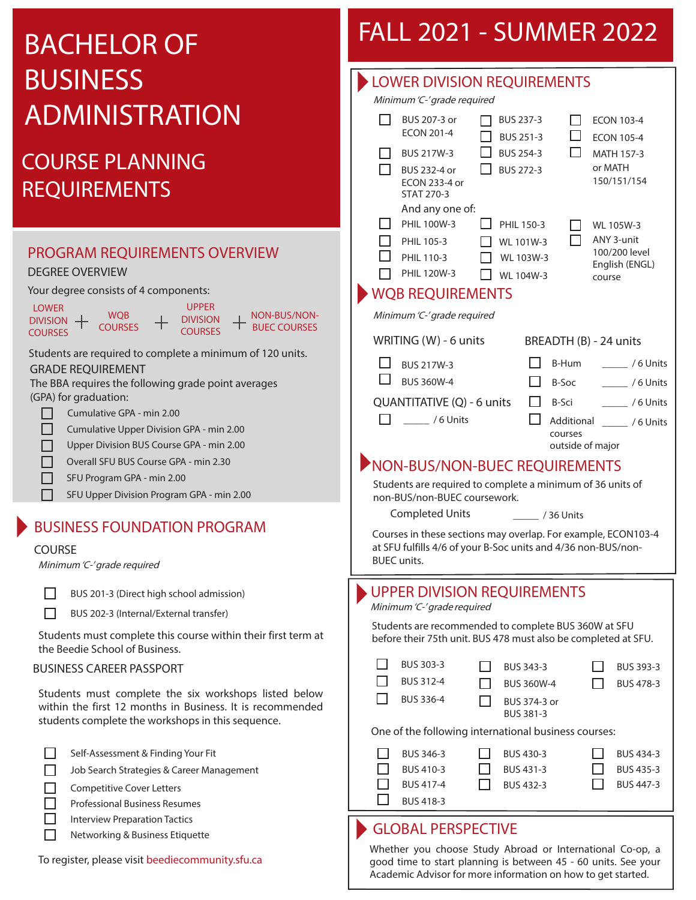# BACHELOR OF BUSINESS ADMINISTRATION

## COURSE PLANNING REQUIREMENTS

## PROGRAM REQUIREMENTS OVERVIEW

#### DEGREE OVERVIEW

Your degree consists of 4 components:

| <b>LOWER</b>    |                | <b>UPPFR</b>    |  |
|-----------------|----------------|-----------------|--|
| <b>DIVISION</b> | <b>WOB</b>     | <b>DIVISION</b> |  |
| <b>COURSES</b>  | <b>COURSES</b> | <b>COURSES</b>  |  |

Students are required to complete a minimum of 120 units. GRADE REQUIREMENT

NON-BUS/NON-BUEC COURSES

The BBA requires the following grade point averages (GPA) for graduation:

- П Cumulative GPA - min 2.00
- П Cumulative Upper Division GPA - min 2.00
- Upper Division BUS Course GPA min 2.00 П
- Overall SFU BUS Course GPA min 2.30 П
- SFU Program GPA min 2.00  $\Box$ 
	- SFU Upper Division Program GPA min 2.00

### BUSINESS FOUNDATION PROGRAM

#### COURSE

П

Minimum 'C-' grade required

BUS 201-3 (Direct high school admission)

BUS 202-3 (Internal/External transfer)

Students must complete this course within their first term at the Beedie School of Business.

#### BUSINESS CAREER PASSPORT

Students must complete the six workshops listed below within the first 12 months in Business. It is recommended students complete the workshops in this sequence.

- Self-Assessment & Finding Your Fit
- $\Box$ Job Search Strategies & Career Management
- П Competitive Cover Letters
- $\Box$ Professional Business Resumes
- Interview Preparation Tactics П
	- Networking & Business Etiquette

#### To register, please visit beediecommunity.sfu.ca

## FALL 2021 - SUMMER 2022

| <b>LOWER DIVISION REQUIREMENTS</b>                                                                                                                                                                                                                                                                    |  |  |  |  |  |
|-------------------------------------------------------------------------------------------------------------------------------------------------------------------------------------------------------------------------------------------------------------------------------------------------------|--|--|--|--|--|
| Minimum 'C-' grade required                                                                                                                                                                                                                                                                           |  |  |  |  |  |
| BUS 207-3 or<br>BUS 237-3<br>H.<br><b>ECON 103-4</b><br><b>ECON 201-4</b><br>$\Box$<br>BUS 251-3<br><b>ECON 105-4</b><br>П.<br><b>BUS 254-3</b><br>BUS 217W-3<br><b>MATH 157-3</b><br>or MATH<br>П<br><b>BUS 272-3</b><br>BUS 232-4 or<br>150/151/154<br>ECON 233-4 or                                |  |  |  |  |  |
| <b>STAT 270-3</b><br>And any one of:<br>PHIL 100W-3<br>PHIL 150-3<br>WL 105W-3<br>ANY 3-unit<br>PHIL 105-3<br>WL 101W-3<br>100/200 level<br>PHIL 110-3<br>WL 103W-3<br>English (ENGL)<br>PHIL 120W-3<br>WL 104W-3<br>course<br><b>WQB REQUIREMENTS</b>                                                |  |  |  |  |  |
| Minimum 'C-' grade required                                                                                                                                                                                                                                                                           |  |  |  |  |  |
| WRITING (W) - 6 units<br>BREADTH (B) - 24 units                                                                                                                                                                                                                                                       |  |  |  |  |  |
| B-Hum<br>$\frac{1}{2}$ /6 Units<br><b>BUS 217W-3</b><br><b>BUS 360W-4</b><br>B-Soc<br>ा<br>$\frac{1}{100}$ / 6 Units<br>QUANTITATIVE (Q) - 6 units<br>$\Box$ B-Sci<br>$\frac{1}{100}$ / 6 Units<br>$\frac{1}{100}$ / 6 Units<br>$\Box$<br>courses<br>outside of major                                 |  |  |  |  |  |
| NON-BUS/NON-BUEC REQUIREMENTS<br>Students are required to complete a minimum of 36 units of<br>non-BUS/non-BUEC coursework.<br><b>Completed Units</b><br>/ 36 Units<br>Courses in these sections may overlap. For example, ECON103-4<br>at SFU fulfills 4/6 of your B-Soc units and 4/36 non-BUS/non- |  |  |  |  |  |
| <b>BUEC</b> units.                                                                                                                                                                                                                                                                                    |  |  |  |  |  |
| <b>UPPER DIVISION REQUIREMENTS</b><br>Minimum 'C-' grade required<br>Students are recommended to complete BUS 360W at SFU<br>before their 75th unit. BUS 478 must also be completed at SFU.                                                                                                           |  |  |  |  |  |
| BUS 303-3<br>BUS 343-3<br>BUS 393-3<br>BUS 312-4<br>BUS 478-3<br><b>BUS 360W-4</b><br>BUS 336-4<br>BUS 374-3 or<br>BUS 381-3                                                                                                                                                                          |  |  |  |  |  |
| One of the following international business courses:                                                                                                                                                                                                                                                  |  |  |  |  |  |
|                                                                                                                                                                                                                                                                                                       |  |  |  |  |  |
| BUS 346-3<br>BUS 434-3<br>BUS 430-3<br>BUS 410-3<br>BUS 431-3<br>BUS 435-3<br>BUS 447-3<br>BUS 417-4<br>BUS 432-3<br>BUS 418-3                                                                                                                                                                        |  |  |  |  |  |

Whether you choose Study Abroad or International Co-op, a good time to start planning is between 45 - 60 units. See your Academic Advisor for more information on how to get started.